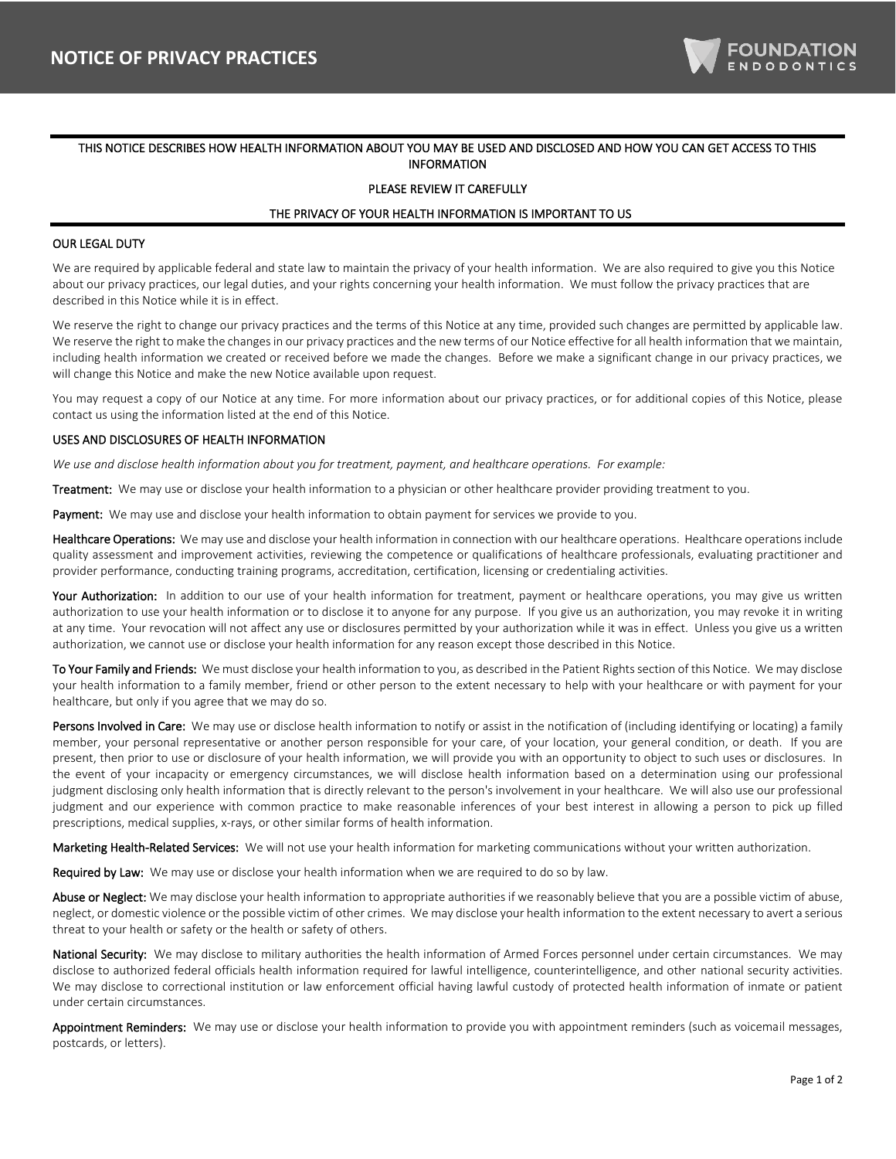# THIS NOTICE DESCRIBES HOW HEALTH INFORMATION ABOUT YOU MAY BE USED AND DISCLOSED AND HOW YOU CAN GET ACCESS TO THIS INFORMATION

### PLEASE REVIEW IT CAREFULLY

### THE PRIVACY OF YOUR HEALTH INFORMATION IS IMPORTANT TO US

### OUR LEGAL DUTY

We are required by applicable federal and state law to maintain the privacy of your health information. We are also required to give you this Notice about our privacy practices, our legal duties, and your rights concerning your health information. We must follow the privacy practices that are described in this Notice while it is in effect.

We reserve the right to change our privacy practices and the terms of this Notice at any time, provided such changes are permitted by applicable law. We reserve the right to make the changes in our privacy practices and the new terms of our Notice effective for all health information that we maintain, including health information we created or received before we made the changes. Before we make a significant change in our privacy practices, we will change this Notice and make the new Notice available upon request.

You may request a copy of our Notice at any time. For more information about our privacy practices, or for additional copies of this Notice, please contact us using the information listed at the end of this Notice.

#### USES AND DISCLOSURES OF HEALTH INFORMATION

*We use and disclose health information about you for treatment, payment, and healthcare operations. For example:*

Treatment: We may use or disclose your health information to a physician or other healthcare provider providing treatment to you.

Payment: We may use and disclose your health information to obtain payment for services we provide to you.

Healthcare Operations: We may use and disclose your health information in connection with our healthcare operations. Healthcare operations include quality assessment and improvement activities, reviewing the competence or qualifications of healthcare professionals, evaluating practitioner and provider performance, conducting training programs, accreditation, certification, licensing or credentialing activities.

Your Authorization: In addition to our use of your health information for treatment, payment or healthcare operations, you may give us written authorization to use your health information or to disclose it to anyone for any purpose. If you give us an authorization, you may revoke it in writing at any time. Your revocation will not affect any use or disclosures permitted by your authorization while it was in effect. Unless you give us a written authorization, we cannot use or disclose your health information for any reason except those described in this Notice.

To Your Family and Friends: We must disclose your health information to you, as described in the Patient Rights section of this Notice. We may disclose your health information to a family member, friend or other person to the extent necessary to help with your healthcare or with payment for your healthcare, but only if you agree that we may do so.

Persons Involved in Care: We may use or disclose health information to notify or assist in the notification of (including identifying or locating) a family member, your personal representative or another person responsible for your care, of your location, your general condition, or death. If you are present, then prior to use or disclosure of your health information, we will provide you with an opportunity to object to such uses or disclosures. In the event of your incapacity or emergency circumstances, we will disclose health information based on a determination using our professional judgment disclosing only health information that is directly relevant to the person's involvement in your healthcare. We will also use our professional judgment and our experience with common practice to make reasonable inferences of your best interest in allowing a person to pick up filled prescriptions, medical supplies, x-rays, or other similar forms of health information.

Marketing Health-Related Services: We will not use your health information for marketing communications without your written authorization.

Required by Law: We may use or disclose your health information when we are required to do so by law.

Abuse or Neglect: We may disclose your health information to appropriate authorities if we reasonably believe that you are a possible victim of abuse, neglect, or domestic violence or the possible victim of other crimes. We may disclose your health information to the extent necessary to avert a serious threat to your health or safety or the health or safety of others.

National Security: We may disclose to military authorities the health information of Armed Forces personnel under certain circumstances. We may disclose to authorized federal officials health information required for lawful intelligence, counterintelligence, and other national security activities. We may disclose to correctional institution or law enforcement official having lawful custody of protected health information of inmate or patient under certain circumstances.

Appointment Reminders: We may use or disclose your health information to provide you with appointment reminders (such as voicemail messages, postcards, or letters).